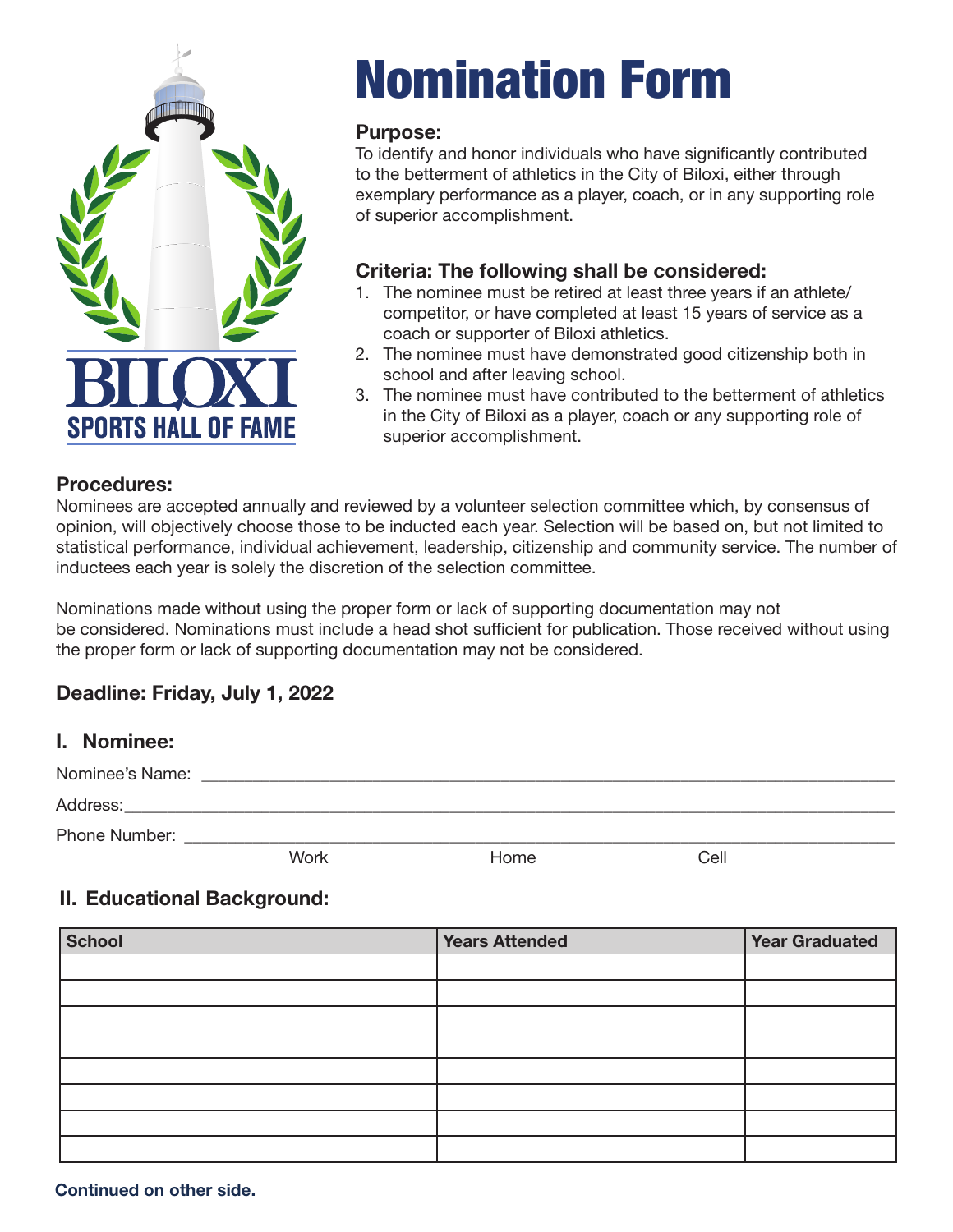

# Nomination Form

### **Purpose:**

To identify and honor individuals who have significantly contributed to the betterment of athletics in the City of Biloxi, either through exemplary performance as a player, coach, or in any supporting role of superior accomplishment.

# **Criteria: The following shall be considered:**

- 1. The nominee must be retired at least three years if an athlete/ competitor, or have completed at least 15 years of service as a coach or supporter of Biloxi athletics.
- 2. The nominee must have demonstrated good citizenship both in school and after leaving school.
- 3. The nominee must have contributed to the betterment of athletics in the City of Biloxi as a player, coach or any supporting role of superior accomplishment.

### **Procedures:**

Nominees are accepted annually and reviewed by a volunteer selection committee which, by consensus of opinion, will objectively choose those to be inducted each year. Selection will be based on, but not limited to statistical performance, individual achievement, leadership, citizenship and community service. The number of inductees each year is solely the discretion of the selection committee.

Nominations made without using the proper form or lack of supporting documentation may not be considered. Nominations must include a head shot sufficient for publication. Those received without using the proper form or lack of supporting documentation may not be considered.

# **Deadline: Friday, July 1, 2022**

## **I. Nominee:**

| Nominee's Name: |      |      |      |  |  |  |
|-----------------|------|------|------|--|--|--|
| Address:        |      |      |      |  |  |  |
| Phone Number:   |      |      |      |  |  |  |
|                 | Work | Home | Cell |  |  |  |

# **II. Educational Background:**

| <b>School</b> | <b>Years Attended</b> | <b>Year Graduated</b> |
|---------------|-----------------------|-----------------------|
|               |                       |                       |
|               |                       |                       |
|               |                       |                       |
|               |                       |                       |
|               |                       |                       |
|               |                       |                       |
|               |                       |                       |
|               |                       |                       |

**Continued on other side.**